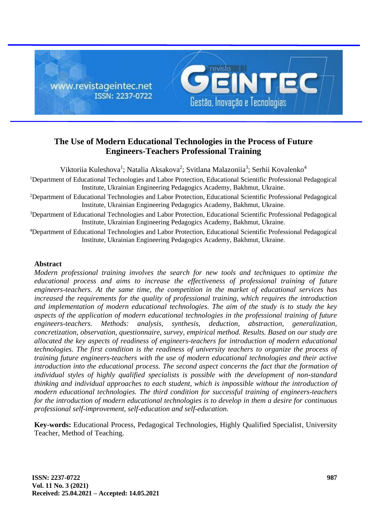

# **The Use of Modern Educational Technologies in the Process of Future Engineers-Teachers Professional Training**

Viktoriia Kuleshova<sup>1</sup>; Natalia Aksakova<sup>2</sup>; Svitlana Malazoniia<sup>3</sup>; Serhii Kovalenko<sup>4</sup> <sup>1</sup>Department of Educational Technologies and Labor Protection, Educational Scientific Professional Pedagogical Institute, Ukrainian Engineering Pedagogics Academy, Bakhmut, Ukraine.

<sup>2</sup>Department of Educational Technologies and Labor Protection, Educational Scientific Professional Pedagogical Institute, Ukrainian Engineering Pedagogics Academy, Bakhmut, Ukraine.

<sup>3</sup>Department of Educational Technologies and Labor Protection, Educational Scientific Professional Pedagogical Institute, Ukrainian Engineering Pedagogics Academy, Bakhmut, Ukraine.

<sup>4</sup>Department of Educational Technologies and Labor Protection, Educational Scientific Professional Pedagogical Institute, Ukrainian Engineering Pedagogics Academy, Bakhmut, Ukraine.

## **Abstract**

*Modern professional training involves the search for new tools and techniques to optimize the educational process and aims to increase the effectiveness of professional training of future engineers-teachers. At the same time, the competition in the market of educational services has increased the requirements for the quality of professional training, which requires the introduction and implementation of modern educational technologies. The aim of the study is to study the key aspects of the application of modern educational technologies in the professional training of future engineers-teachers. Methods: analysis, synthesis, deduction, abstraction, generalization, concretization, observation, questionnaire, survey, empirical method. Results. Based on our study are allocated the key aspects of readiness of engineers-teachers for introduction of modern educational technologies. The first condition is the readiness of university teachers to organize the process of training future engineers-teachers with the use of modern educational technologies and their active introduction into the educational process. The second aspect concerns the fact that the formation of individual styles of highly qualified specialists is possible with the development of non-standard thinking and individual approaches to each student, which is impossible without the introduction of modern educational technologies. The third condition for successful training of engineers-teachers for the introduction of modern educational technologies is to develop in them a desire for continuous professional self-improvement, self-education and self-education.*

**Key-words:** Educational Process, Pedagogical Technologies, Highly Qualified Specialist, University Teacher, Method of Teaching.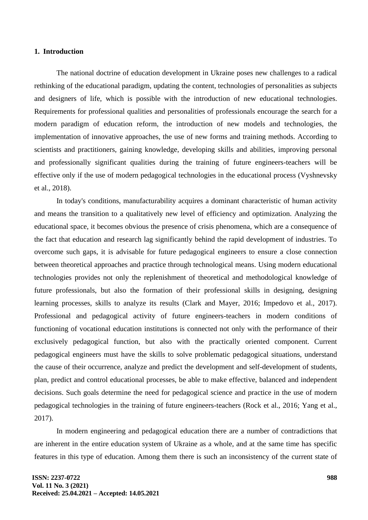#### **1. Introduction**

The national doctrine of education development in Ukraine poses new challenges to a radical rethinking of the educational paradigm, updating the content, technologies of personalities as subjects and designers of life, which is possible with the introduction of new educational technologies. Requirements for professional qualities and personalities of professionals encourage the search for a modern paradigm of education reform, the introduction of new models and technologies, the implementation of innovative approaches, the use of new forms and training methods. According to scientists and practitioners, gaining knowledge, developing skills and abilities, improving personal and professionally significant qualities during the training of future engineers-teachers will be effective only if the use of modern pedagogical technologies in the educational process (Vyshnevsky et al., 2018).

In today's conditions, manufacturability acquires a dominant characteristic of human activity and means the transition to a qualitatively new level of efficiency and optimization. Analyzing the educational space, it becomes obvious the presence of crisis phenomena, which are a consequence of the fact that education and research lag significantly behind the rapid development of industries. To overcome such gaps, it is advisable for future pedagogical engineers to ensure a close connection between theoretical approaches and practice through technological means. Using modern educational technologies provides not only the replenishment of theoretical and methodological knowledge of future professionals, but also the formation of their professional skills in designing, designing learning processes, skills to analyze its results (Clark and Mayer, 2016; Impedovo et al., 2017). Professional and pedagogical activity of future engineers-teachers in modern conditions of functioning of vocational education institutions is connected not only with the performance of their exclusively pedagogical function, but also with the practically oriented component. Current pedagogical engineers must have the skills to solve problematic pedagogical situations, understand the cause of their occurrence, analyze and predict the development and self-development of students, plan, predict and control educational processes, be able to make effective, balanced and independent decisions. Such goals determine the need for pedagogical science and practice in the use of modern pedagogical technologies in the training of future engineers-teachers (Rock et al., 2016; Yang et al., 2017).

In modern engineering and pedagogical education there are a number of contradictions that are inherent in the entire education system of Ukraine as a whole, and at the same time has specific features in this type of education. Among them there is such an inconsistency of the current state of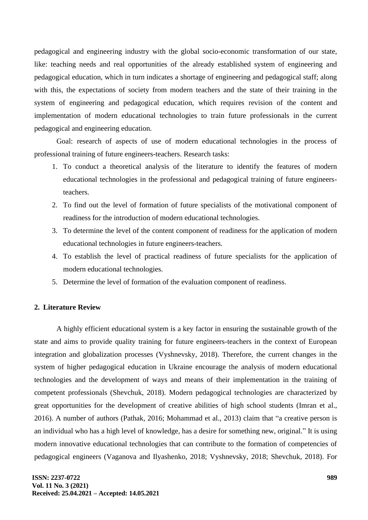pedagogical and engineering industry with the global socio-economic transformation of our state, like: teaching needs and real opportunities of the already established system of engineering and pedagogical education, which in turn indicates a shortage of engineering and pedagogical staff; along with this, the expectations of society from modern teachers and the state of their training in the system of engineering and pedagogical education, which requires revision of the content and implementation of modern educational technologies to train future professionals in the current pedagogical and engineering education.

Goal: research of aspects of use of modern educational technologies in the process of professional training of future engineers-teachers. Research tasks:

- 1. To conduct a theoretical analysis of the literature to identify the features of modern educational technologies in the professional and pedagogical training of future engineersteachers.
- 2. To find out the level of formation of future specialists of the motivational component of readiness for the introduction of modern educational technologies.
- 3. To determine the level of the content component of readiness for the application of modern educational technologies in future engineers-teachers.
- 4. To establish the level of practical readiness of future specialists for the application of modern educational technologies.
- 5. Determine the level of formation of the evaluation component of readiness.

## **2. Literature Review**

A highly efficient educational system is a key factor in ensuring the sustainable growth of the state and aims to provide quality training for future engineers-teachers in the context of European integration and globalization processes (Vyshnevsky, 2018). Therefore, the current changes in the system of higher pedagogical education in Ukraine encourage the analysis of modern educational technologies and the development of ways and means of their implementation in the training of competent professionals (Shevchuk, 2018). Modern pedagogical technologies are characterized by great opportunities for the development of creative abilities of high school students (Imran et al., 2016). A number of authors (Pathak, 2016; Mohammad et al., 2013) claim that "a creative person is an individual who has a high level of knowledge, has a desire for something new, original." It is using modern innovative educational technologies that can contribute to the formation of competencies of pedagogical engineers (Vaganova and Ilyashenko, 2018; Vyshnevsky, 2018; Shevchuk, 2018). For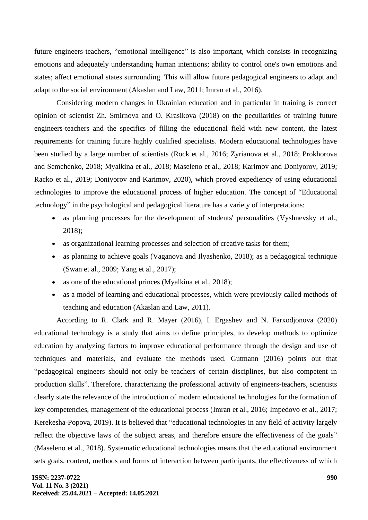future engineers-teachers, "emotional intelligence" is also important, which consists in recognizing emotions and adequately understanding human intentions; ability to control one's own emotions and states; affect emotional states surrounding. This will allow future pedagogical engineers to adapt and adapt to the social environment (Akaslan and Law, 2011; Imran et al., 2016).

Considering modern changes in Ukrainian education and in particular in training is correct opinion of scientist Zh. Smirnova and O. Krasikova (2018) on the peculiarities of training future engineers-teachers and the specifics of filling the educational field with new content, the latest requirements for training future highly qualified specialists. Modern educational technologies have been studied by a large number of scientists (Rock et al., 2016; Zyrianova et al., 2018; Prokhorova and Semchenko, 2018; Myalkina et al., 2018; Maseleno et al., 2018; Karimov and Doniyorov, 2019; Racko et al., 2019; Doniyorov and Karimov, 2020), which proved expediency of using educational technologies to improve the educational process of higher education. The concept of "Educational technology" in the psychological and pedagogical literature has a variety of interpretations:

- as planning processes for the development of students' personalities (Vyshnevsky et al., 2018);
- as organizational learning processes and selection of creative tasks for them;
- as planning to achieve goals (Vaganova and Ilyashenko, 2018); as a pedagogical technique (Swan et al., 2009; Yang et al., 2017);
- as one of the educational princes (Myalkina et al., 2018);
- as a model of learning and educational processes, which were previously called methods of teaching and education (Akaslan and Law, 2011).

According to R. Clark and R. Mayer (2016), I. Ergashev and N. Farxodjonova (2020) educational technology is a study that aims to define principles, to develop methods to optimize education by analyzing factors to improve educational performance through the design and use of techniques and materials, and evaluate the methods used. Gutmann (2016) points out that "pedagogical engineers should not only be teachers of certain disciplines, but also competent in production skills". Therefore, characterizing the professional activity of engineers-teachers, scientists clearly state the relevance of the introduction of modern educational technologies for the formation of key competencies, management of the educational process (Imran et al., 2016; Impedovo et al., 2017; Kerekesha-Popova, 2019). It is believed that "educational technologies in any field of activity largely reflect the objective laws of the subject areas, and therefore ensure the effectiveness of the goals" (Maseleno et al., 2018). Systematic educational technologies means that the educational environment sets goals, content, methods and forms of interaction between participants, the effectiveness of which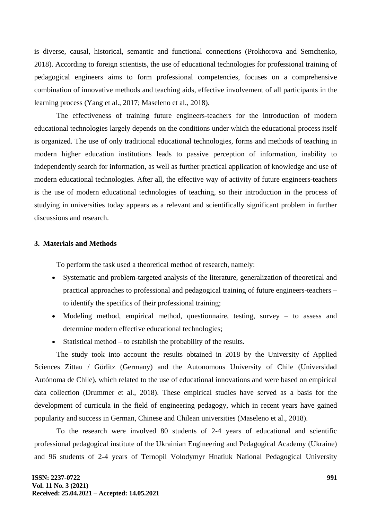is diverse, causal, historical, semantic and functional connections (Prokhorova and Semchenko, 2018). According to foreign scientists, the use of educational technologies for professional training of pedagogical engineers aims to form professional competencies, focuses on a comprehensive combination of innovative methods and teaching aids, effective involvement of all participants in the learning process (Yang et al., 2017; Maseleno et al., 2018).

The effectiveness of training future engineers-teachers for the introduction of modern educational technologies largely depends on the conditions under which the educational process itself is organized. The use of only traditional educational technologies, forms and methods of teaching in modern higher education institutions leads to passive perception of information, inability to independently search for information, as well as further practical application of knowledge and use of modern educational technologies. After all, the effective way of activity of future engineers-teachers is the use of modern educational technologies of teaching, so their introduction in the process of studying in universities today appears as a relevant and scientifically significant problem in further discussions and research.

## **3. Materials and Methods**

To perform the task used a theoretical method of research, namely:

- Systematic and problem-targeted analysis of the literature, generalization of theoretical and practical approaches to professional and pedagogical training of future engineers-teachers – to identify the specifics of their professional training;
- Modeling method, empirical method, questionnaire, testing, survey to assess and determine modern effective educational technologies;
- Statistical method to establish the probability of the results.

The study took into account the results obtained in 2018 by the University of Applied Sciences Zittau / Görlitz (Germany) and the Autonomous University of Chile (Universidad Autónoma de Chile), which related to the use of educational innovations and were based on empirical data collection (Drummer et al., 2018). These empirical studies have served as a basis for the development of curricula in the field of engineering pedagogy, which in recent years have gained popularity and success in German, Chinese and Chilean universities (Maseleno et al., 2018).

To the research were involved 80 students of 2-4 years of educational and scientific professional pedagogical institute of the Ukrainian Engineering and Pedagogical Academy (Ukraine) and 96 students of 2-4 years of Ternopil Volodymyr Hnatiuk National Pedagogical University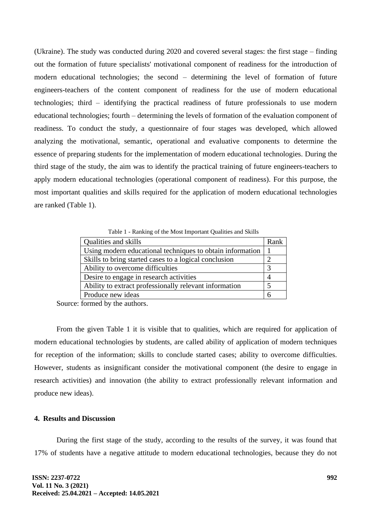(Ukraine). The study was conducted during 2020 and covered several stages: the first stage – finding out the formation of future specialists' motivational component of readiness for the introduction of modern educational technologies; the second – determining the level of formation of future engineers-teachers of the content component of readiness for the use of modern educational technologies; third – identifying the practical readiness of future professionals to use modern educational technologies; fourth – determining the levels of formation of the evaluation component of readiness. To conduct the study, a questionnaire of four stages was developed, which allowed analyzing the motivational, semantic, operational and evaluative components to determine the essence of preparing students for the implementation of modern educational technologies. During the third stage of the study, the aim was to identify the practical training of future engineers-teachers to apply modern educational technologies (operational component of readiness). For this purpose, the most important qualities and skills required for the application of modern educational technologies are ranked (Table 1).

Table 1 - Ranking of the Most Important Qualities and Skills

| Qualities and skills                                      | Rank |
|-----------------------------------------------------------|------|
| Using modern educational techniques to obtain information |      |
| Skills to bring started cases to a logical conclusion     |      |
| Ability to overcome difficulties                          |      |
| Desire to engage in research activities                   |      |
| Ability to extract professionally relevant information    |      |
| Produce new ideas                                         |      |

Source: formed by the authors.

From the given Table 1 it is visible that to qualities, which are required for application of modern educational technologies by students, are called ability of application of modern techniques for reception of the information; skills to conclude started cases; ability to overcome difficulties. However, students as insignificant consider the motivational component (the desire to engage in research activities) and innovation (the ability to extract professionally relevant information and produce new ideas).

## **4. Results and Discussion**

During the first stage of the study, according to the results of the survey, it was found that 17% of students have a negative attitude to modern educational technologies, because they do not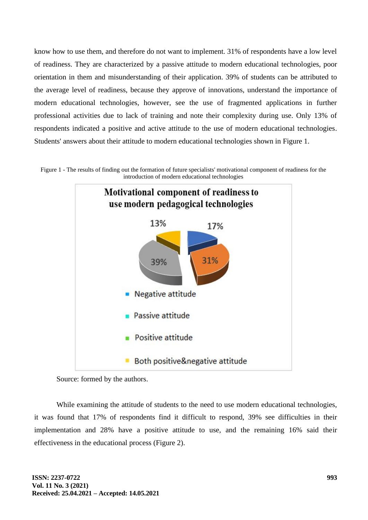know how to use them, and therefore do not want to implement. 31% of respondents have a low level of readiness. They are characterized by a passive attitude to modern educational technologies, poor orientation in them and misunderstanding of their application. 39% of students can be attributed to the average level of readiness, because they approve of innovations, understand the importance of modern educational technologies, however, see the use of fragmented applications in further professional activities due to lack of training and note their complexity during use. Only 13% of respondents indicated a positive and active attitude to the use of modern educational technologies. Students' answers about their attitude to modern educational technologies shown in Figure 1.





Source: formed by the authors.

While examining the attitude of students to the need to use modern educational technologies, it was found that 17% of respondents find it difficult to respond, 39% see difficulties in their implementation and 28% have a positive attitude to use, and the remaining 16% said their effectiveness in the educational process (Figure 2).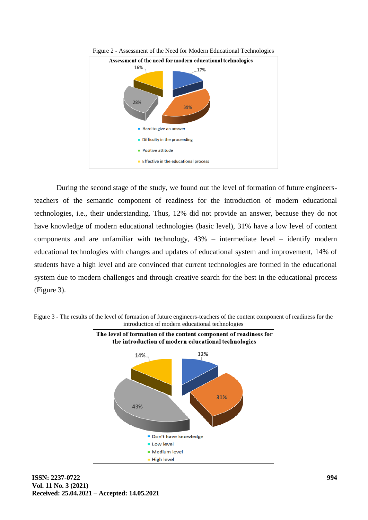



During the second stage of the study, we found out the level of formation of future engineersteachers of the semantic component of readiness for the introduction of modern educational technologies, i.e., their understanding. Thus, 12% did not provide an answer, because they do not have knowledge of modern educational technologies (basic level), 31% have a low level of content components and are unfamiliar with technology, 43% – intermediate level – identify modern educational technologies with changes and updates of educational system and improvement, 14% of students have a high level and are convinced that current technologies are formed in the educational system due to modern challenges and through creative search for the best in the educational process (Figure 3).



Figure 3 - The results of the level of formation of future engineers-teachers of the content component of readiness for the introduction of modern educational technologies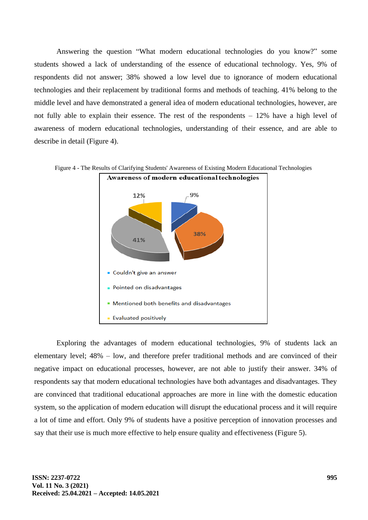Answering the question "What modern educational technologies do you know?" some students showed a lack of understanding of the essence of educational technology. Yes, 9% of respondents did not answer; 38% showed a low level due to ignorance of modern educational technologies and their replacement by traditional forms and methods of teaching. 41% belong to the middle level and have demonstrated a general idea of modern educational technologies, however, are not fully able to explain their essence. The rest of the respondents – 12% have a high level of awareness of modern educational technologies, understanding of their essence, and are able to describe in detail (Figure 4).



Figure 4 - The Results of Clarifying Students' Awareness of Existing Modern Educational Technologies

Exploring the advantages of modern educational technologies, 9% of students lack an elementary level; 48% – low, and therefore prefer traditional methods and are convinced of their negative impact on educational processes, however, are not able to justify their answer. 34% of respondents say that modern educational technologies have both advantages and disadvantages. They are convinced that traditional educational approaches are more in line with the domestic education system, so the application of modern education will disrupt the educational process and it will require a lot of time and effort. Only 9% of students have a positive perception of innovation processes and say that their use is much more effective to help ensure quality and effectiveness (Figure 5).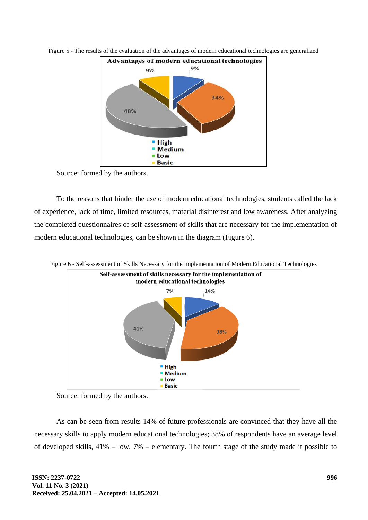

Figure 5 - The results of the evaluation of the advantages of modern educational technologies are generalized

Source: formed by the authors.

To the reasons that hinder the use of modern educational technologies, students called the lack of experience, lack of time, limited resources, material disinterest and low awareness. After analyzing the completed questionnaires of self-assessment of skills that are necessary for the implementation of modern educational technologies, can be shown in the diagram (Figure 6).



Source: formed by the authors.

As can be seen from results 14% of future professionals are convinced that they have all the necessary skills to apply modern educational technologies; 38% of respondents have an average level of developed skills, 41% – low, 7% – elementary. The fourth stage of the study made it possible to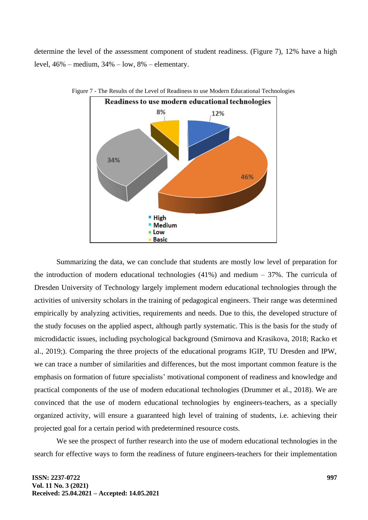determine the level of the assessment component of student readiness. (Figure 7), 12% have a high level, 46% – medium, 34% – low, 8% – elementary.



Figure 7 - The Results of the Level of Readiness to use Modern Educational Technologies

Summarizing the data, we can conclude that students are mostly low level of preparation for the introduction of modern educational technologies  $(41\%)$  and medium  $-37\%$ . The curricula of Dresden University of Technology largely implement modern educational technologies through the activities of university scholars in the training of pedagogical engineers. Their range was determined empirically by analyzing activities, requirements and needs. Due to this, the developed structure of the study focuses on the applied aspect, although partly systematic. This is the basis for the study of microdidactic issues, including psychological background (Smirnova and Krasikova, 2018; Racko et al., 2019;). Comparing the three projects of the educational programs IGIP, TU Dresden and IPW, we can trace a number of similarities and differences, but the most important common feature is the emphasis on formation of future specialists' motivational component of readiness and knowledge and practical components of the use of modern educational technologies (Drummer et al., 2018). We are convinced that the use of modern educational technologies by engineers-teachers, as a specially organized activity, will ensure a guaranteed high level of training of students, i.e. achieving their projected goal for a certain period with predetermined resource costs.

We see the prospect of further research into the use of modern educational technologies in the search for effective ways to form the readiness of future engineers-teachers for their implementation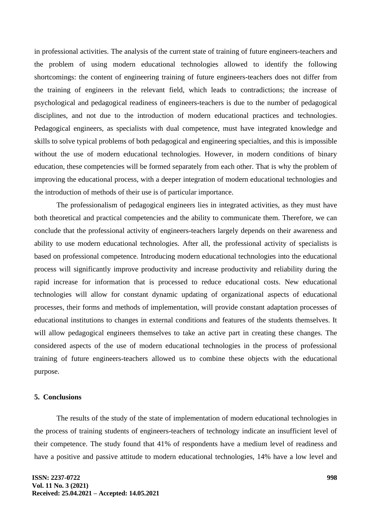in professional activities. The analysis of the current state of training of future engineers-teachers and the problem of using modern educational technologies allowed to identify the following shortcomings: the content of engineering training of future engineers-teachers does not differ from the training of engineers in the relevant field, which leads to contradictions; the increase of psychological and pedagogical readiness of engineers-teachers is due to the number of pedagogical disciplines, and not due to the introduction of modern educational practices and technologies. Pedagogical engineers, as specialists with dual competence, must have integrated knowledge and skills to solve typical problems of both pedagogical and engineering specialties, and this is impossible without the use of modern educational technologies. However, in modern conditions of binary education, these competencies will be formed separately from each other. That is why the problem of improving the educational process, with a deeper integration of modern educational technologies and the introduction of methods of their use is of particular importance.

The professionalism of pedagogical engineers lies in integrated activities, as they must have both theoretical and practical competencies and the ability to communicate them. Therefore, we can conclude that the professional activity of engineers-teachers largely depends on their awareness and ability to use modern educational technologies. After all, the professional activity of specialists is based on professional competence. Introducing modern educational technologies into the educational process will significantly improve productivity and increase productivity and reliability during the rapid increase for information that is processed to reduce educational costs. New educational technologies will allow for constant dynamic updating of organizational aspects of educational processes, their forms and methods of implementation, will provide constant adaptation processes of educational institutions to changes in external conditions and features of the students themselves. It will allow pedagogical engineers themselves to take an active part in creating these changes. The considered aspects of the use of modern educational technologies in the process of professional training of future engineers-teachers allowed us to combine these objects with the educational purpose.

#### **5. Conclusions**

The results of the study of the state of implementation of modern educational technologies in the process of training students of engineers-teachers of technology indicate an insufficient level of their competence. The study found that 41% of respondents have a medium level of readiness and have a positive and passive attitude to modern educational technologies, 14% have a low level and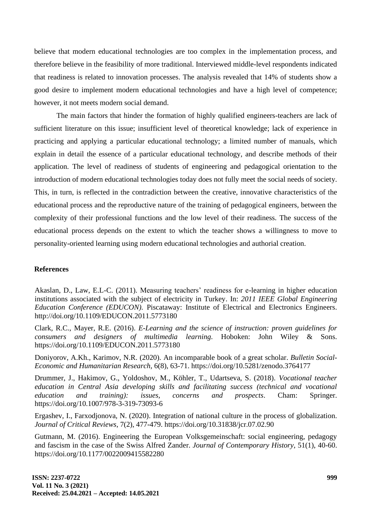believe that modern educational technologies are too complex in the implementation process, and therefore believe in the feasibility of more traditional. Interviewed middle-level respondents indicated that readiness is related to innovation processes. The analysis revealed that 14% of students show a good desire to implement modern educational technologies and have a high level of competence; however, it not meets modern social demand.

The main factors that hinder the formation of highly qualified engineers-teachers are lack of sufficient literature on this issue; insufficient level of theoretical knowledge; lack of experience in practicing and applying a particular educational technology; a limited number of manuals, which explain in detail the essence of a particular educational technology, and describe methods of their application. The level of readiness of students of engineering and pedagogical orientation to the introduction of modern educational technologies today does not fully meet the social needs of society. This, in turn, is reflected in the contradiction between the creative, innovative characteristics of the educational process and the reproductive nature of the training of pedagogical engineers, between the complexity of their professional functions and the low level of their readiness. The success of the educational process depends on the extent to which the teacher shows a willingness to move to personality-oriented learning using modern educational technologies and authorial creation.

## **References**

Akaslan, D., Law, E.L-C. (2011). Measuring teachers' readiness for e-learning in higher education institutions associated with the subject of electricity in Turkey. In: *2011 IEEE Global Engineering Education Conference (EDUCON).* Piscataway: Institute of Electrical and Electronics Engineers. http://doi.org/10.1109/EDUCON.2011.5773180

Clark, R.C., Mayer, R.E. (2016). *E-Learning and the science of instruction: proven guidelines for consumers and designers of multimedia learning*. Hoboken: John Wiley & Sons. https://doi.org/10.1109/EDUCON.2011.5773180

Doniyorov, A.Kh., Karimov, N.R. (2020). An incomparable book of a great scholar. *Bulletin Social-Economic and Humanitarian Research*, 6(8), 63-71. https://doi.org/10.5281/zenodo.3764177

Drummer, J., Hakimov, G., Yoldoshov, M., Köhler, T., Udartseva, S. (2018). *Vocational teacher education in Central Asia developing skills and facilitating success (technical and vocational education and training): issues, concerns and prospects*. Cham: Springer. https://doi.org/10.1007/978-3-319-73093-6

Ergashev, I., Farxodjonova, N. (2020). Integration of national culture in the process of globalization. *Journal of Critical Reviews*, 7(2), 477-479. https://doi.org/10.31838/jcr.07.02.90

Gutmann, M. (2016). Engineering the European Volksgemeinschaft: social engineering, pedagogy and fascism in the case of the Swiss Alfred Zander. *Journal of Contemporary History*, 51(1), 40-60. https://doi.org/10.1177/0022009415582280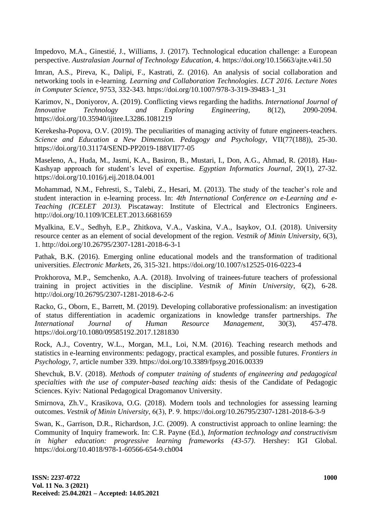Impedovo, M.A., Ginestié, J., Williams, J. (2017). Technological education challenge: a European perspective. *Australasian Journal of Technology Education*, 4. https://doi.org/10.15663/ajte.v4i1.50

Imran, A.S., Pireva, K., Dalipi, F., Kastrati, Z. (2016). An analysis of social collaboration and networking tools in e-learning*. Learning and Collaboration Technologies*. *LCT 2016. Lecture Notes in Computer Science*, 9753, 332-343. https://doi.org/10.1007/978-3-319-39483-1\_31

Karimov, N., Doniyorov, A. (2019). Conflicting views regarding the hadiths. *International Journal of Innovative Technology and Exploring Engineering*, 8(12), 2090-2094. https://doi.org/10.35940/ijitee.L3286.1081219

Kerekesha-Popova, O.V. (2019). The peculiarities of managing activity of future engineers-teachers. *Science and Education a New Dimension. Pedagogy and Psychology*, VII(77(188)), 25-30. https://doi.org/10.31174/SEND-PP2019-188VII77-05

Maseleno, A., Huda, M., Jasmi, K.A., Basiron, B., Mustari, I., Don, A.G., Ahmad, R. (2018). Hau-Kashyap approach for student's level of expertise*. Egyptian Informatics Journal*, 20(1), 27-32. https://doi.org/10.1016/j.eij.2018.04.001

Mohammad, N.M., Fehresti, S., Talebi, Z., Hesari, M. (2013). The study of the teacher's role and student interaction in e-learning process. In: *4th International Conference on e-Learning and e-Teaching (ICELET 2013).* Piscataway: Institute of Electrical and Electronics Engineers. http://doi.org/10.1109/ICELET.2013.6681659

Myalkina, E.V., Sedhyh, E.P., Zhitkova, V.A., Vaskina, V.A., Isaykov, O.I. (2018). University resource center as an element of social development of the region*. Vestnik of Minin University*, 6(3), 1. http://doi.org/10.26795/2307-1281-2018-6-3-1

Pathak, B.K. (2016). Emerging online educational models and the transformation of traditional universities. *Electronic Markets*, 26, 315-321. https://doi.org/10.1007/s12525-016-0223-4

Prokhorova, M.P., Semchenko, A.A. (2018). Involving of trainees-future teachers of professional training in project activities in the discipline. *Vestnik of Minin University*, 6(2), 6-28. http://doi.org/10.26795/2307-1281-2018-6-2-6

Racko, G., Oborn, E., Barrett, M. (2019). Developing collaborative professionalism: an investigation of status differentiation in academic organizations in knowledge transfer partnerships. *The International Journal of Human Resource Management*, 30(3), 457-478. https://doi.org/10.1080/09585192.2017.1281830

Rock, A.J., Coventry, W.L., Morgan, M.I., Loi, N.M. (2016). Teaching research methods and statistics in e-learning environments: pedagogy, practical examples, and possible futures. *Frontiers in Psychology*, 7, article number 339. https://doi.org/10.3389/fpsyg.2016.00339

Shevchuk, B.V. (2018). *Methods of computer training of students of engineering and pedagogical specialties with the use of computer-based teaching aids*: thesis of the Candidate of Pedagogic Sciences. Kyiv: National Pedagogical Dragomanov University.

Smirnova, Zh.V., Krasikova, O.G. (2018). Modern tools and technologies for assessing learning outcomes. *Vestnik of Minin University*, 6(3), Р. 9. https://doi.org/10.26795/2307-1281-2018-6-3-9

Swan, K., Garrison, D.R., Richardson, J.C. (2009). A constructivist approach to online learning: the Community of Inquiry framework. In: C.R. Payne (Ed.), *Information technology and constructivism in higher education: progressive learning frameworks (43-57)*. Hershey: IGI Global. https://doi.org/10.4018/978-1-60566-654-9.ch004